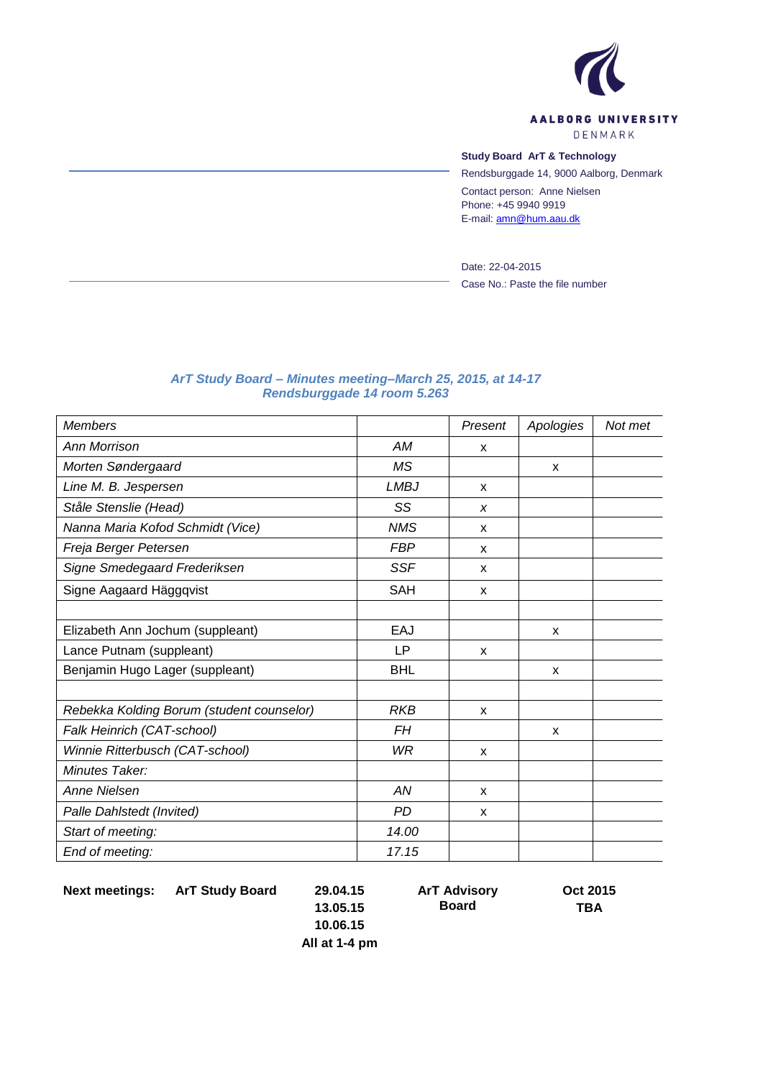

# **Study Board ArT & Technology**

Rendsburggade 14, 9000 Aalborg, Denmark Contact person: Anne Nielsen Phone: +45 9940 9919 E-mail: [amn@hum.aau.dk](mailto:amn@hum.aau.dk)

Date: 22-04-2015 Case No.: Paste the file number

#### *ArT Study Board – Minutes meeting–March 25, 2015, at 14-17 Rendsburggade 14 room 5.263*

| <b>Members</b>                            |             | Present                   | Apologies                 | Not met |
|-------------------------------------------|-------------|---------------------------|---------------------------|---------|
| <b>Ann Morrison</b>                       | AM          | X                         |                           |         |
| Morten Søndergaard                        | <b>MS</b>   |                           | X                         |         |
| Line M. B. Jespersen                      | <b>LMBJ</b> | $\mathsf{x}$              |                           |         |
| Ståle Stenslie (Head)                     | SS          | X                         |                           |         |
| Nanna Maria Kofod Schmidt (Vice)          | <b>NMS</b>  | $\boldsymbol{\mathsf{x}}$ |                           |         |
| Freja Berger Petersen                     | <b>FBP</b>  | X                         |                           |         |
| Signe Smedegaard Frederiksen              | <b>SSF</b>  | X                         |                           |         |
| Signe Aagaard Häggqvist                   | <b>SAH</b>  | X                         |                           |         |
|                                           |             |                           |                           |         |
| Elizabeth Ann Jochum (suppleant)          | EAJ         |                           | X                         |         |
| Lance Putnam (suppleant)                  | LP          | X                         |                           |         |
| Benjamin Hugo Lager (suppleant)           | <b>BHL</b>  |                           | X                         |         |
|                                           |             |                           |                           |         |
| Rebekka Kolding Borum (student counselor) | <b>RKB</b>  | X                         |                           |         |
| Falk Heinrich (CAT-school)                | FH          |                           | $\boldsymbol{\mathsf{x}}$ |         |
| Winnie Ritterbusch (CAT-school)           | WR          | $\boldsymbol{\mathsf{x}}$ |                           |         |
| Minutes Taker:                            |             |                           |                           |         |
| <b>Anne Nielsen</b>                       | AN          | X                         |                           |         |
| Palle Dahlstedt (Invited)                 | PD.         | X                         |                           |         |
| Start of meeting:                         | 14.00       |                           |                           |         |
| End of meeting:                           | 17.15       |                           |                           |         |

**Next meetings: ArT Study Board 29.04.15**

**ArT Advisory** 

**Board**

**Oct 2015 TBA**

**13.05.15 10.06.15**

**All at 1-4 pm**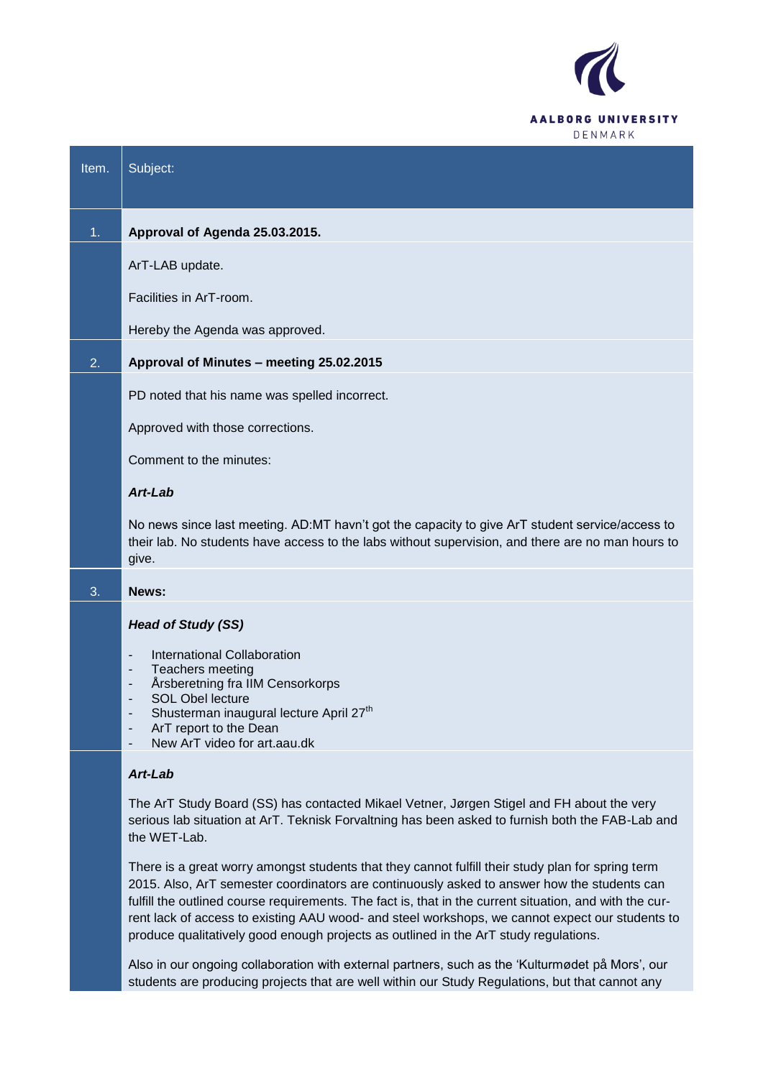

| Item. | Subject:                                                                                                                                                                                                                                                                                                                 |
|-------|--------------------------------------------------------------------------------------------------------------------------------------------------------------------------------------------------------------------------------------------------------------------------------------------------------------------------|
| 1.    | Approval of Agenda 25.03.2015.                                                                                                                                                                                                                                                                                           |
|       | ArT-LAB update.                                                                                                                                                                                                                                                                                                          |
|       | Facilities in ArT-room.                                                                                                                                                                                                                                                                                                  |
|       | Hereby the Agenda was approved.                                                                                                                                                                                                                                                                                          |
| 2.    | Approval of Minutes - meeting 25.02.2015                                                                                                                                                                                                                                                                                 |
|       | PD noted that his name was spelled incorrect.                                                                                                                                                                                                                                                                            |
|       | Approved with those corrections.                                                                                                                                                                                                                                                                                         |
|       | Comment to the minutes:                                                                                                                                                                                                                                                                                                  |
|       | Art-Lab                                                                                                                                                                                                                                                                                                                  |
|       | No news since last meeting. AD:MT havn't got the capacity to give ArT student service/access to<br>their lab. No students have access to the labs without supervision, and there are no man hours to<br>give.                                                                                                            |
| 3.    | News:                                                                                                                                                                                                                                                                                                                    |
|       | <b>Head of Study (SS)</b>                                                                                                                                                                                                                                                                                                |
|       | International Collaboration<br>$\overline{\phantom{a}}$<br>Teachers meeting<br>٠<br>Årsberetning fra IIM Censorkorps<br>$\overline{\phantom{a}}$<br><b>SOL Obel lecture</b><br>Shusterman inaugural lecture April 27 <sup>th</sup><br>ArT report to the Dean<br>$\overline{\phantom{a}}$<br>New ArT video for art.aau.dk |
|       | Art-Lab                                                                                                                                                                                                                                                                                                                  |
|       | The ArT Study Board (SS) has contacted Mikael Vetner, Jørgen Stigel and FH about the very<br>serious lab situation at ArT. Teknisk Forvaltning has been asked to furnish both the FAB-Lab and                                                                                                                            |

There is a great worry amongst students that they cannot fulfill their study plan for spring term 2015. Also, ArT semester coordinators are continuously asked to answer how the students can fulfill the outlined course requirements. The fact is, that in the current situation, and with the current lack of access to existing AAU wood- and steel workshops, we cannot expect our students to produce qualitatively good enough projects as outlined in the ArT study regulations.

the WET-Lab.

Also in our ongoing collaboration with external partners, such as the "Kulturmødet på Mors", our students are producing projects that are well within our Study Regulations, but that cannot any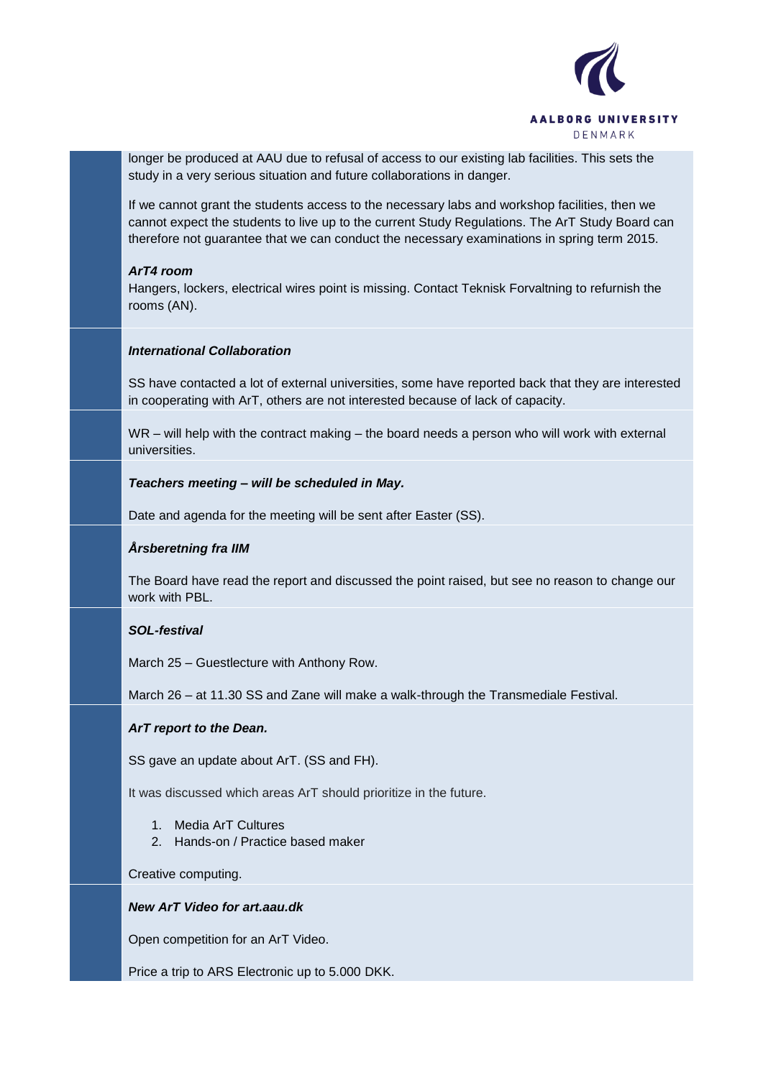

longer be produced at AAU due to refusal of access to our existing lab facilities. This sets the study in a very serious situation and future collaborations in danger.

If we cannot grant the students access to the necessary labs and workshop facilities, then we cannot expect the students to live up to the current Study Regulations. The ArT Study Board can therefore not guarantee that we can conduct the necessary examinations in spring term 2015.

### *ArT4 room*

Hangers, lockers, electrical wires point is missing. Contact Teknisk Forvaltning to refurnish the rooms (AN).

### *International Collaboration*

SS have contacted a lot of external universities, some have reported back that they are interested in cooperating with ArT, others are not interested because of lack of capacity.

WR – will help with the contract making – the board needs a person who will work with external universities.

### *Teachers meeting – will be scheduled in May.*

Date and agenda for the meeting will be sent after Easter (SS).

## *Årsberetning fra IIM*

The Board have read the report and discussed the point raised, but see no reason to change our work with PBL.

## *SOL-festival*

March 25 – Guestlecture with Anthony Row.

March 26 – at 11.30 SS and Zane will make a walk-through the Transmediale Festival.

## *ArT report to the Dean.*

SS gave an update about ArT. (SS and FH).

It was discussed which areas ArT should prioritize in the future.

- 1. Media ArT Cultures
- 2. Hands-on / Practice based maker

#### Creative computing.

### *New ArT Video for art.aau.dk*

Open competition for an ArT Video.

Price a trip to ARS Electronic up to 5.000 DKK.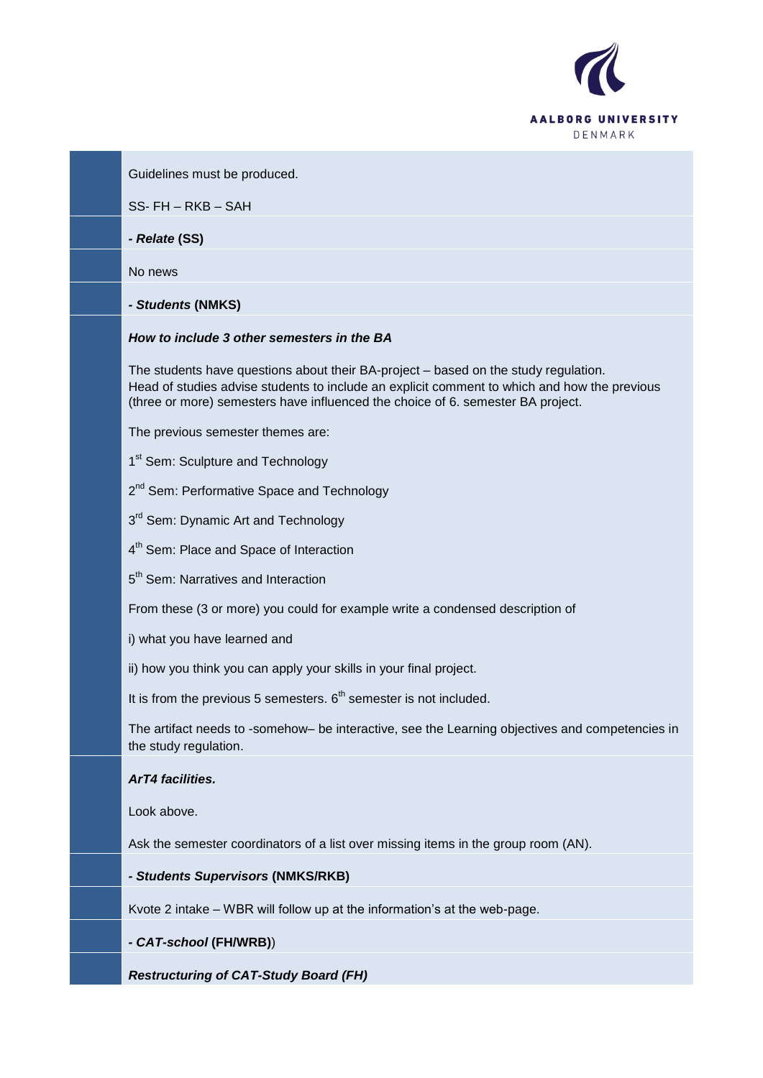

Guidelines must be produced.

SS- FH – RKB – SAH

*- Relate* **(SS)**

No news

*- Students* **(NMKS)**

### *How to include 3 other semesters in the BA*

The students have questions about their BA-project – based on the study regulation. Head of studies advise students to include an explicit comment to which and how the previous (three or more) semesters have influenced the choice of 6. semester BA project.

The previous semester themes are:

1<sup>st</sup> Sem: Sculpture and Technology

2<sup>nd</sup> Sem: Performative Space and Technology

3<sup>rd</sup> Sem: Dynamic Art and Technology

4<sup>th</sup> Sem: Place and Space of Interaction

5<sup>th</sup> Sem: Narratives and Interaction

From these (3 or more) you could for example write a condensed description of

i) what you have learned and

ii) how you think you can apply your skills in your final project.

It is from the previous 5 semesters.  $6<sup>th</sup>$  semester is not included.

The artifact needs to -somehow– be interactive, see the Learning objectives and competencies in the study regulation.

# *ArT4 facilities.*

Look above.

Ask the semester coordinators of a list over missing items in the group room (AN).

*- Students Supervisors* **(NMKS/RKB)**

Kvote 2 intake – WBR will follow up at the information"s at the web-page.

#### *- CAT-school* **(FH/WRB)**)

*Restructuring of CAT-Study Board (FH)*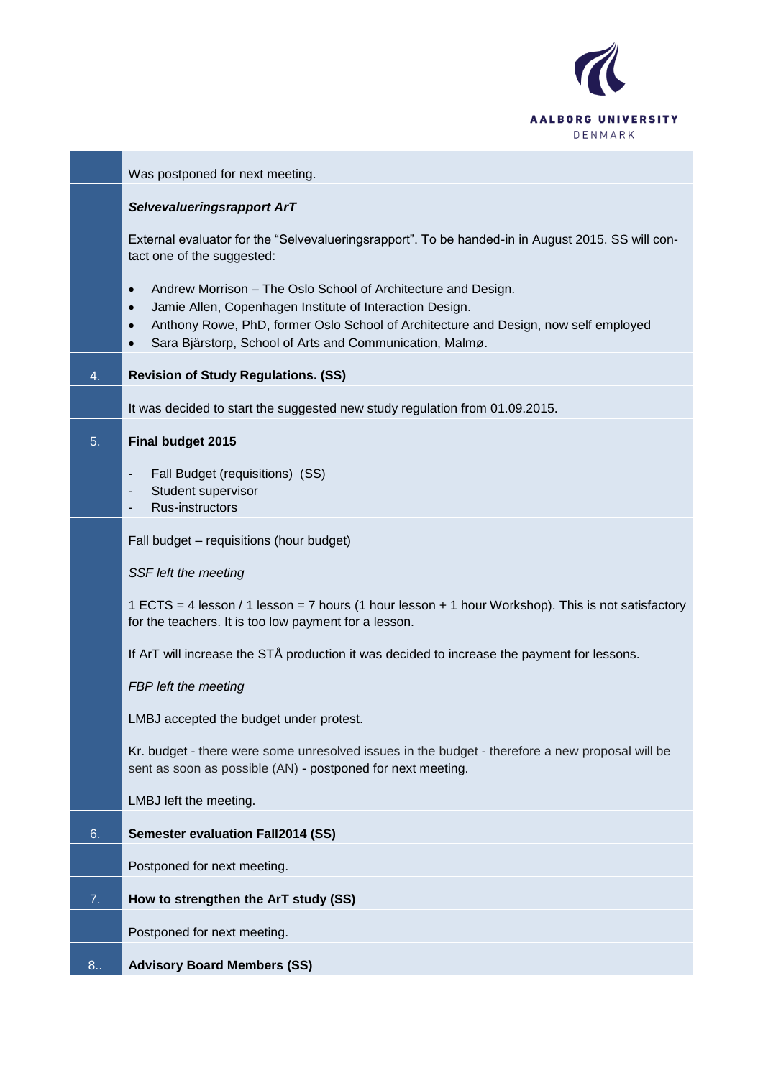

|     | Was postponed for next meeting.                                                                                                                                                                                                                                                                                                  |
|-----|----------------------------------------------------------------------------------------------------------------------------------------------------------------------------------------------------------------------------------------------------------------------------------------------------------------------------------|
|     | Selvevalueringsrapport ArT                                                                                                                                                                                                                                                                                                       |
|     | External evaluator for the "Selvevalueringsrapport". To be handed-in in August 2015. SS will con-<br>tact one of the suggested:                                                                                                                                                                                                  |
|     | Andrew Morrison - The Oslo School of Architecture and Design.<br>$\bullet$<br>Jamie Allen, Copenhagen Institute of Interaction Design.<br>$\bullet$<br>Anthony Rowe, PhD, former Oslo School of Architecture and Design, now self employed<br>$\bullet$<br>Sara Bjärstorp, School of Arts and Communication, Malmø.<br>$\bullet$ |
| 4.  | <b>Revision of Study Regulations. (SS)</b>                                                                                                                                                                                                                                                                                       |
|     | It was decided to start the suggested new study regulation from 01.09.2015.                                                                                                                                                                                                                                                      |
| 5.  | Final budget 2015                                                                                                                                                                                                                                                                                                                |
|     | Fall Budget (requisitions) (SS)<br>Student supervisor<br>Rus-instructors                                                                                                                                                                                                                                                         |
|     | Fall budget - requisitions (hour budget)                                                                                                                                                                                                                                                                                         |
|     | SSF left the meeting                                                                                                                                                                                                                                                                                                             |
|     | 1 ECTS = 4 lesson / 1 lesson = 7 hours (1 hour lesson + 1 hour Workshop). This is not satisfactory<br>for the teachers. It is too low payment for a lesson.                                                                                                                                                                      |
|     | If ArT will increase the STÅ production it was decided to increase the payment for lessons.                                                                                                                                                                                                                                      |
|     | FBP left the meeting                                                                                                                                                                                                                                                                                                             |
|     | LMBJ accepted the budget under protest.                                                                                                                                                                                                                                                                                          |
|     | Kr. budget - there were some unresolved issues in the budget - therefore a new proposal will be<br>sent as soon as possible (AN) - postponed for next meeting.                                                                                                                                                                   |
|     | LMBJ left the meeting.                                                                                                                                                                                                                                                                                                           |
| 6.  | <b>Semester evaluation Fall2014 (SS)</b>                                                                                                                                                                                                                                                                                         |
|     | Postponed for next meeting.                                                                                                                                                                                                                                                                                                      |
| 7.  | How to strengthen the ArT study (SS)                                                                                                                                                                                                                                                                                             |
|     | Postponed for next meeting.                                                                                                                                                                                                                                                                                                      |
| 8.5 | <b>Advisory Board Members (SS)</b>                                                                                                                                                                                                                                                                                               |